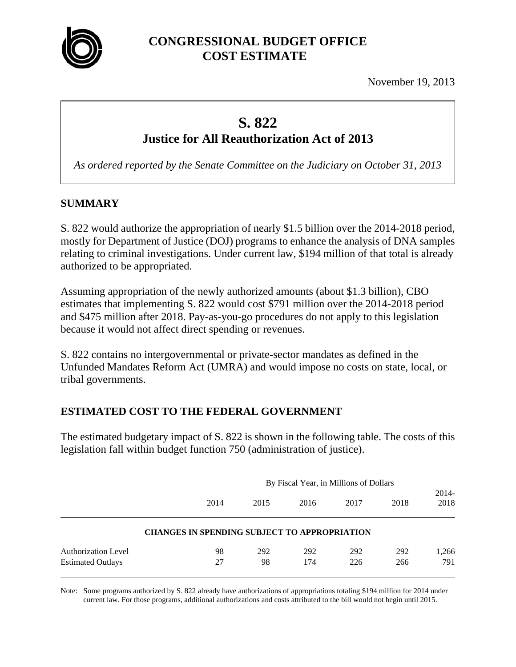

November 19, 2013

# **S. 822 Justice for All Reauthorization Act of 2013**

*As ordered reported by the Senate Committee on the Judiciary on October 31, 2013* 

## **SUMMARY**

S. 822 would authorize the appropriation of nearly \$1.5 billion over the 2014-2018 period, mostly for Department of Justice (DOJ) programs to enhance the analysis of DNA samples relating to criminal investigations. Under current law, \$194 million of that total is already authorized to be appropriated.

Assuming appropriation of the newly authorized amounts (about \$1.3 billion), CBO estimates that implementing S. 822 would cost \$791 million over the 2014-2018 period and \$475 million after 2018. Pay-as-you-go procedures do not apply to this legislation because it would not affect direct spending or revenues.

S. 822 contains no intergovernmental or private-sector mandates as defined in the Unfunded Mandates Reform Act (UMRA) and would impose no costs on state, local, or tribal governments.

# **ESTIMATED COST TO THE FEDERAL GOVERNMENT**

The estimated budgetary impact of S. 822 is shown in the following table. The costs of this legislation fall within budget function 750 (administration of justice).

|                          |                                                     | By Fiscal Year, in Millions of Dollars |      |      |      |                 |  |
|--------------------------|-----------------------------------------------------|----------------------------------------|------|------|------|-----------------|--|
|                          | 2014                                                | 2015                                   | 2016 | 2017 | 2018 | $2014-$<br>2018 |  |
|                          | <b>CHANGES IN SPENDING SUBJECT TO APPROPRIATION</b> |                                        |      |      |      |                 |  |
| Authorization Level      | 98                                                  | 292                                    | 292  | 292  | 292  | 1,266           |  |
| <b>Estimated Outlays</b> | 27                                                  | 98                                     | 174  | 226  | 266  | 791             |  |

Note: Some programs authorized by S. 822 already have authorizations of appropriations totaling \$194 million for 2014 under current law. For those programs, additional authorizations and costs attributed to the bill would not begin until 2015.